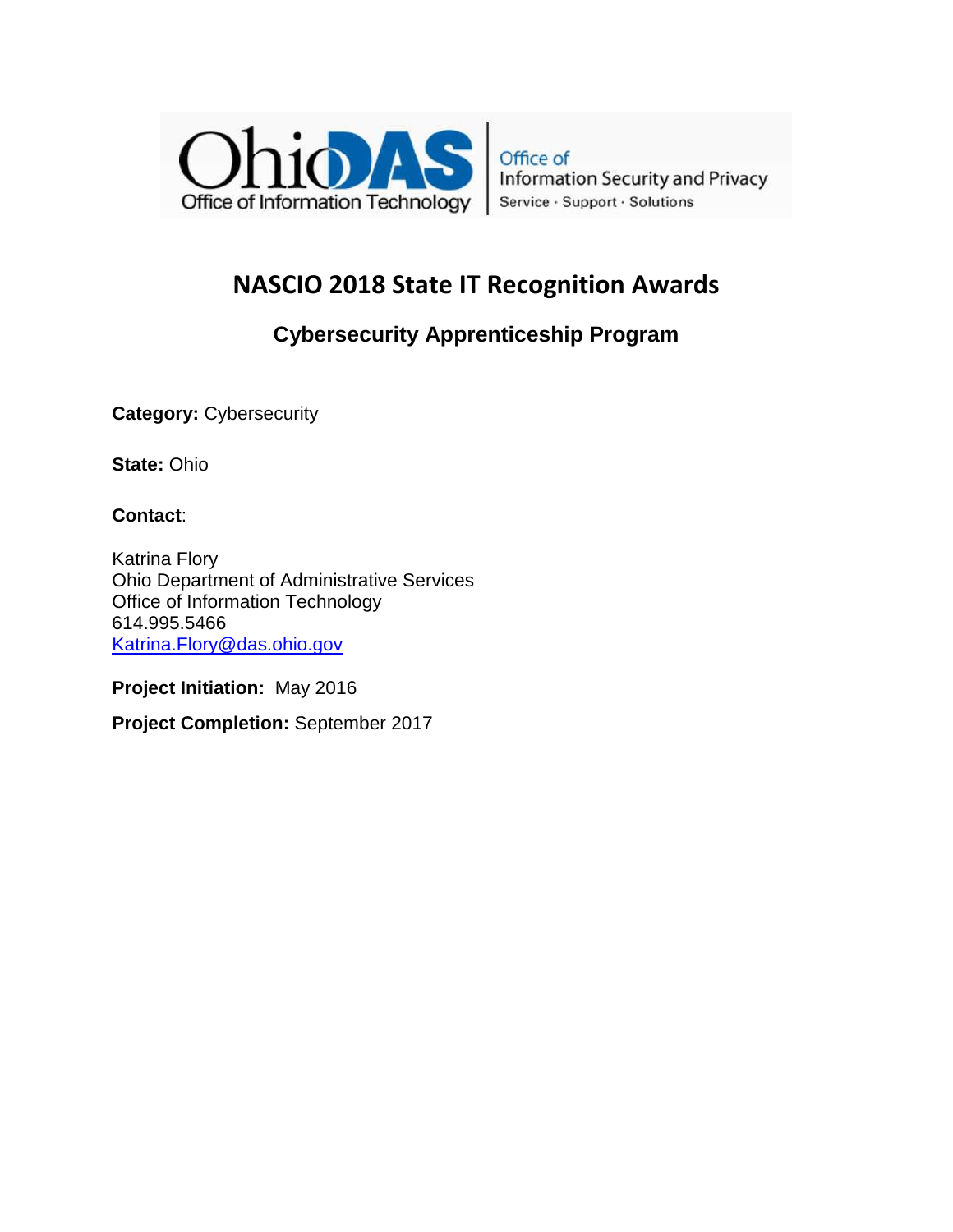

Office of **Information Security and Privacy** Service · Support · Solutions

# **NASCIO 2018 State IT Recognition Awards**

## **Cybersecurity Apprenticeship Program**

**Category: Cybersecurity** 

**State:** Ohio

**Contact**:

Katrina Flory Ohio Department of Administrative Services Office of Information Technology 614.995.5466 Katrina.Flory@das.ohio.gov

**Project Initiation:** May 2016

**Project Completion:** September 2017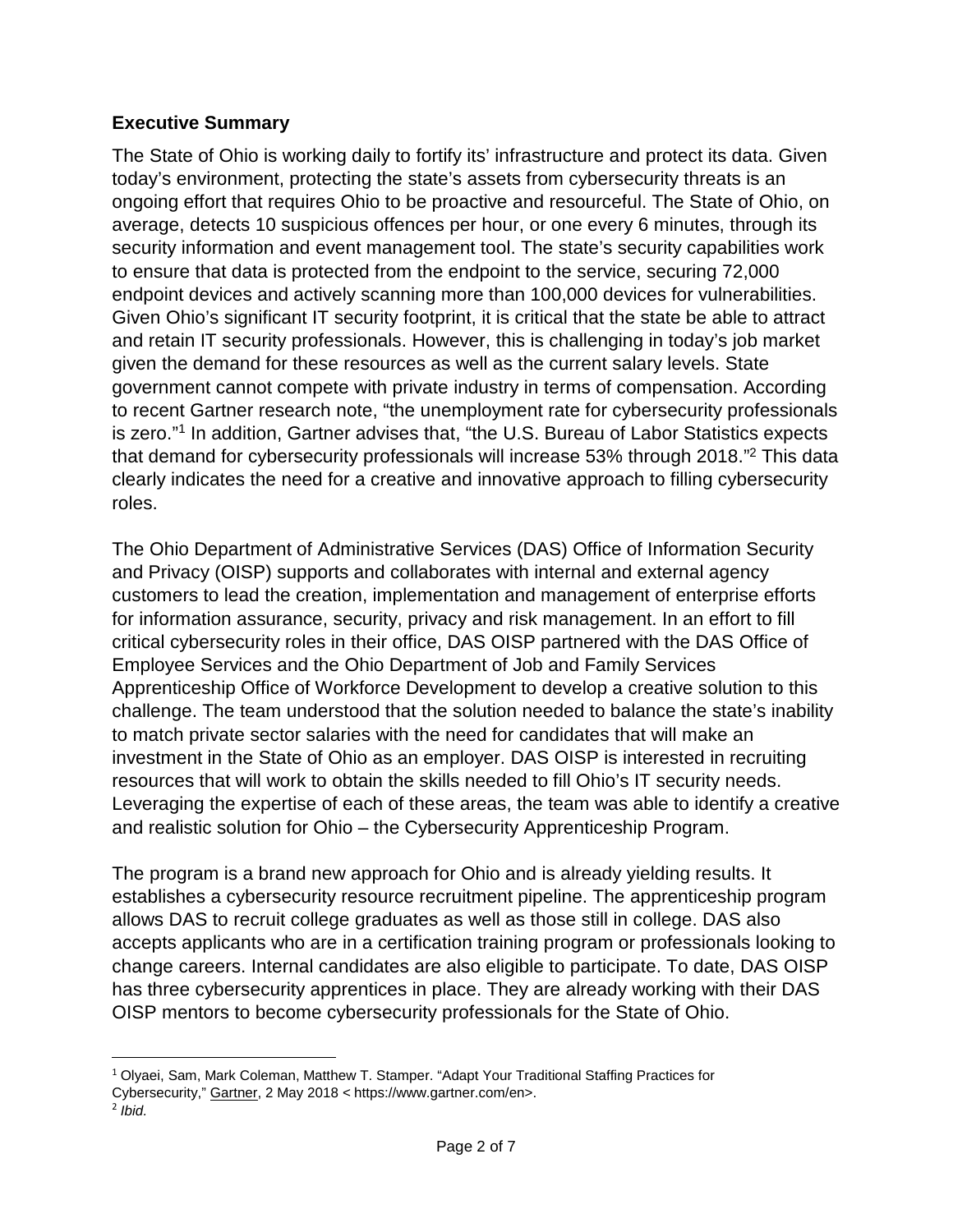#### **Executive Summary**

The State of Ohio is working daily to fortify its' infrastructure and protect its data. Given today's environment, protecting the state's assets from cybersecurity threats is an ongoing effort that requires Ohio to be proactive and resourceful. The State of Ohio, on average, detects 10 suspicious offences per hour, or one every 6 minutes, through its security information and event management tool. The state's security capabilities work to ensure that data is protected from the endpoint to the service, securing 72,000 endpoint devices and actively scanning more than 100,000 devices for vulnerabilities. Given Ohio's significant IT security footprint, it is critical that the state be able to attract and retain IT security professionals. However, this is challenging in today's job market given the demand for these resources as well as the current salary levels. State government cannot compete with private industry in terms of compensation. According to recent Gartner research note, "the unemployment rate for cybersecurity professionals is zero."<sup>1</sup> In addition, Gartner advises that, "the U.S. Bureau of Labor Statistics expects that demand for cybersecurity professionals will increase 53% through 2018."<sup>2</sup> This data clearly indicates the need for a creative and innovative approach to filling cybersecurity roles.

The Ohio Department of Administrative Services (DAS) Office of Information Security and Privacy (OISP) supports and collaborates with internal and external agency customers to lead the creation, implementation and management of enterprise efforts for information assurance, security, privacy and risk management. In an effort to fill critical cybersecurity roles in their office, DAS OISP partnered with the DAS Office of Employee Services and the Ohio Department of Job and Family Services Apprenticeship Office of Workforce Development to develop a creative solution to this challenge. The team understood that the solution needed to balance the state's inability to match private sector salaries with the need for candidates that will make an investment in the State of Ohio as an employer. DAS OISP is interested in recruiting resources that will work to obtain the skills needed to fill Ohio's IT security needs. Leveraging the expertise of each of these areas, the team was able to identify a creative and realistic solution for Ohio – the Cybersecurity Apprenticeship Program.

The program is a brand new approach for Ohio and is already yielding results. It establishes a cybersecurity resource recruitment pipeline. The apprenticeship program allows DAS to recruit college graduates as well as those still in college. DAS also accepts applicants who are in a certification training program or professionals looking to change careers. Internal candidates are also eligible to participate. To date, DAS OISP has three cybersecurity apprentices in place. They are already working with their DAS OISP mentors to become cybersecurity professionals for the State of Ohio.

 $\overline{a}$ 

<sup>1</sup> Olyaei, Sam, Mark Coleman, Matthew T. Stamper. "Adapt Your Traditional Staffing Practices for

Cybersecurity," Gartner, 2 May 2018 < https://www.gartner.com/en>.

 $2$  *lbid.*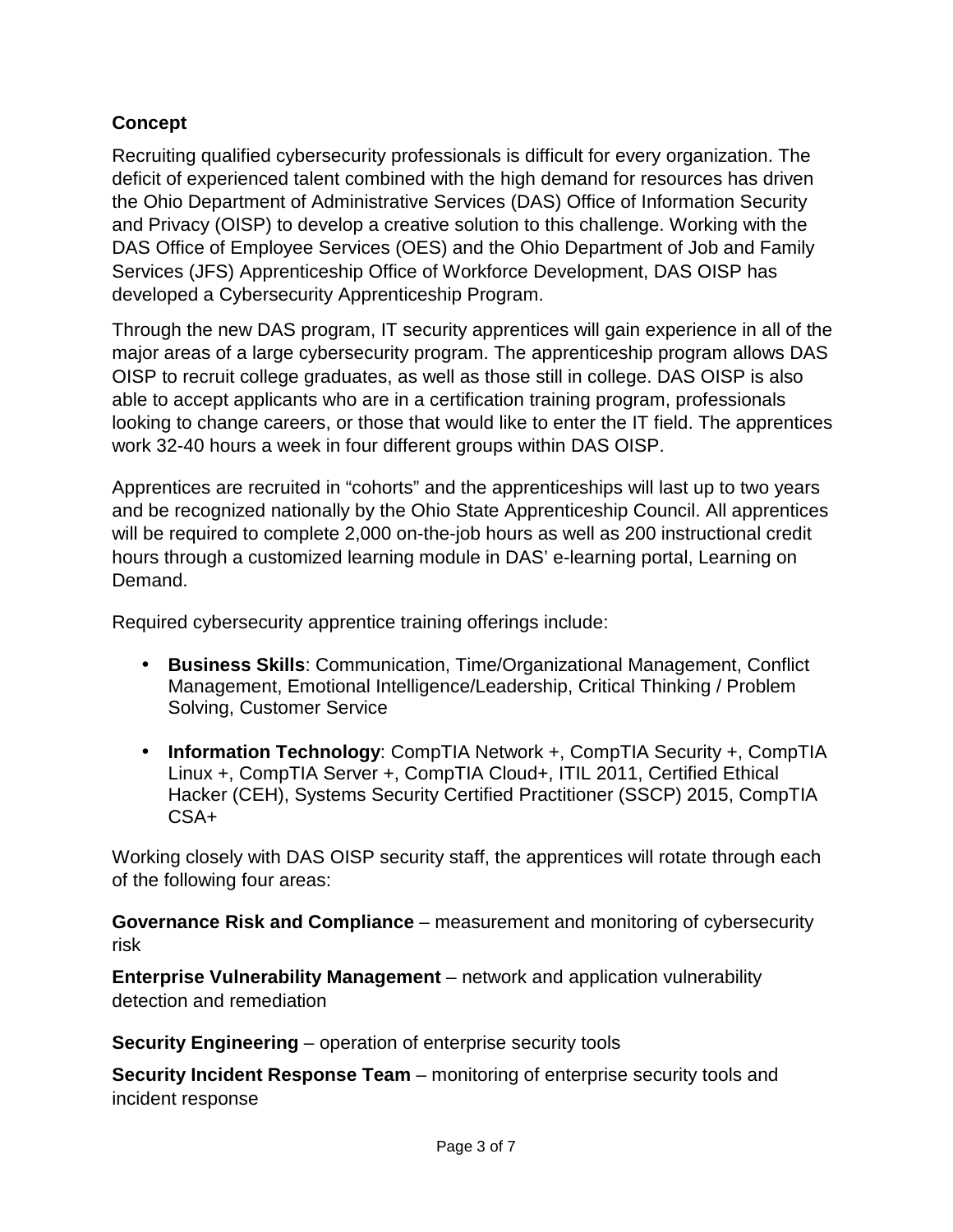## **Concept**

Recruiting qualified cybersecurity professionals is difficult for every organization. The deficit of experienced talent combined with the high demand for resources has driven the Ohio Department of Administrative Services (DAS) Office of Information Security and Privacy (OISP) to develop a creative solution to this challenge. Working with the DAS Office of Employee Services (OES) and the Ohio Department of Job and Family Services (JFS) Apprenticeship Office of Workforce Development, DAS OISP has developed a Cybersecurity Apprenticeship Program.

Through the new DAS program, IT security apprentices will gain experience in all of the major areas of a large cybersecurity program. The apprenticeship program allows DAS OISP to recruit college graduates, as well as those still in college. DAS OISP is also able to accept applicants who are in a certification training program, professionals looking to change careers, or those that would like to enter the IT field. The apprentices work 32-40 hours a week in four different groups within DAS OISP.

Apprentices are recruited in "cohorts" and the apprenticeships will last up to two years and be recognized nationally by the Ohio State Apprenticeship Council. All apprentices will be required to complete 2,000 on-the-job hours as well as 200 instructional credit hours through a customized learning module in DAS' e-learning portal, Learning on Demand.

Required cybersecurity apprentice training offerings include:

- **Business Skills**: Communication, Time/Organizational Management, Conflict Management, Emotional Intelligence/Leadership, Critical Thinking / Problem Solving, Customer Service
- **Information Technology**: CompTIA Network +, CompTIA Security +, CompTIA Linux +, CompTIA Server +, CompTIA Cloud+, ITIL 2011, Certified Ethical Hacker (CEH), Systems Security Certified Practitioner (SSCP) 2015, CompTIA CSA+

Working closely with DAS OISP security staff, the apprentices will rotate through each of the following four areas:

**Governance Risk and Compliance** – measurement and monitoring of cybersecurity risk

**Enterprise Vulnerability Management** – network and application vulnerability detection and remediation

**Security Engineering** – operation of enterprise security tools

**Security Incident Response Team** – monitoring of enterprise security tools and incident response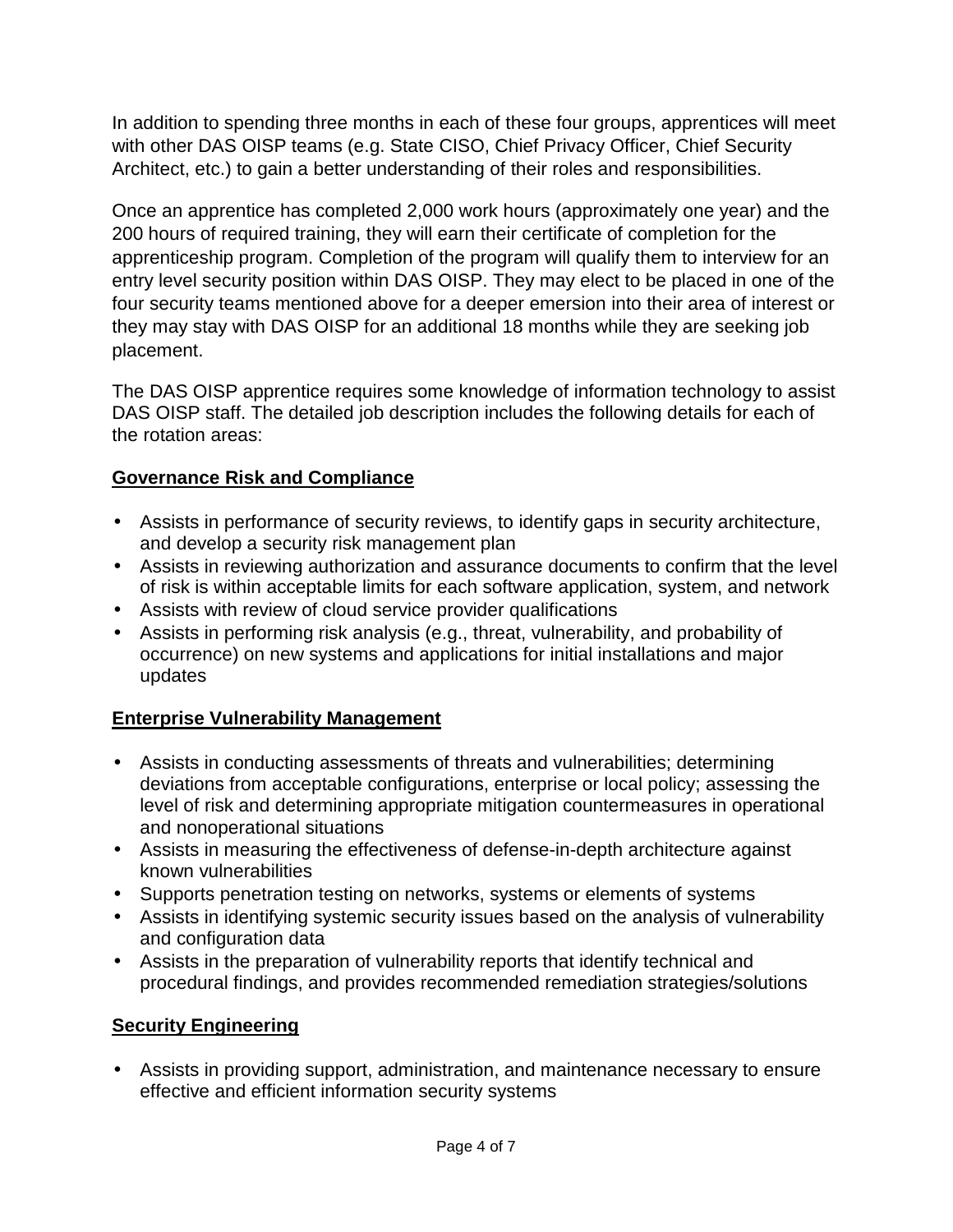In addition to spending three months in each of these four groups, apprentices will meet with other DAS OISP teams (e.g. State CISO, Chief Privacy Officer, Chief Security Architect, etc.) to gain a better understanding of their roles and responsibilities.

Once an apprentice has completed 2,000 work hours (approximately one year) and the 200 hours of required training, they will earn their certificate of completion for the apprenticeship program. Completion of the program will qualify them to interview for an entry level security position within DAS OISP. They may elect to be placed in one of the four security teams mentioned above for a deeper emersion into their area of interest or they may stay with DAS OISP for an additional 18 months while they are seeking job placement.

The DAS OISP apprentice requires some knowledge of information technology to assist DAS OISP staff. The detailed job description includes the following details for each of the rotation areas:

## **Governance Risk and Compliance**

- Assists in performance of security reviews, to identify gaps in security architecture, and develop a security risk management plan
- Assists in reviewing authorization and assurance documents to confirm that the level of risk is within acceptable limits for each software application, system, and network
- Assists with review of cloud service provider qualifications
- Assists in performing risk analysis (e.g., threat, vulnerability, and probability of occurrence) on new systems and applications for initial installations and major updates

## **Enterprise Vulnerability Management**

- Assists in conducting assessments of threats and vulnerabilities; determining deviations from acceptable configurations, enterprise or local policy; assessing the level of risk and determining appropriate mitigation countermeasures in operational and nonoperational situations
- Assists in measuring the effectiveness of defense-in-depth architecture against known vulnerabilities
- Supports penetration testing on networks, systems or elements of systems
- Assists in identifying systemic security issues based on the analysis of vulnerability and configuration data
- Assists in the preparation of vulnerability reports that identify technical and procedural findings, and provides recommended remediation strategies/solutions

## **Security Engineering**

• Assists in providing support, administration, and maintenance necessary to ensure effective and efficient information security systems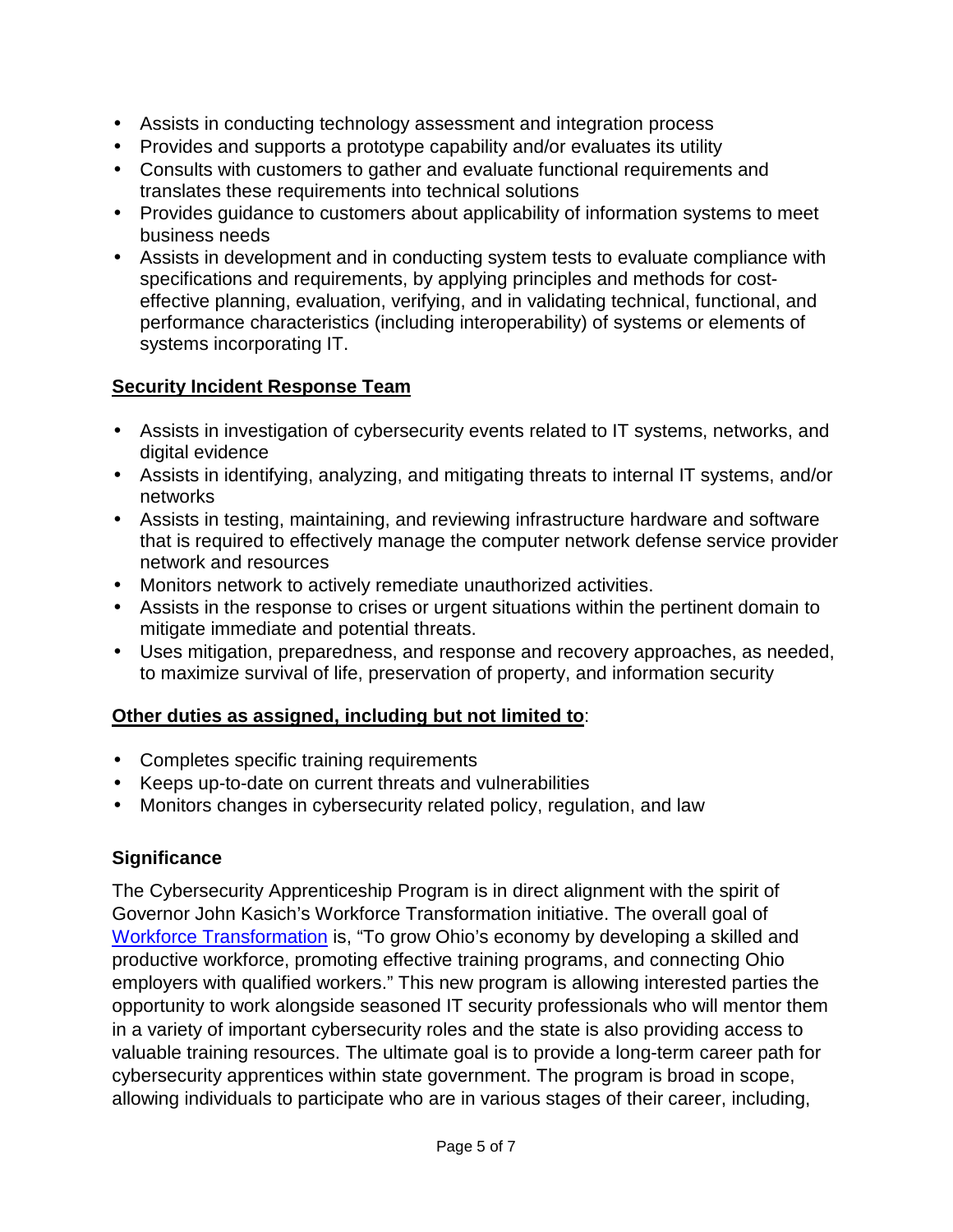- Assists in conducting technology assessment and integration process
- Provides and supports a prototype capability and/or evaluates its utility
- Consults with customers to gather and evaluate functional requirements and translates these requirements into technical solutions
- Provides guidance to customers about applicability of information systems to meet business needs
- Assists in development and in conducting system tests to evaluate compliance with specifications and requirements, by applying principles and methods for costeffective planning, evaluation, verifying, and in validating technical, functional, and performance characteristics (including interoperability) of systems or elements of systems incorporating IT.

#### **Security Incident Response Team**

- Assists in investigation of cybersecurity events related to IT systems, networks, and digital evidence
- Assists in identifying, analyzing, and mitigating threats to internal IT systems, and/or networks
- Assists in testing, maintaining, and reviewing infrastructure hardware and software that is required to effectively manage the computer network defense service provider network and resources
- Monitors network to actively remediate unauthorized activities.
- Assists in the response to crises or urgent situations within the pertinent domain to mitigate immediate and potential threats.
- Uses mitigation, preparedness, and response and recovery approaches, as needed, to maximize survival of life, preservation of property, and information security

## **Other duties as assigned, including but not limited to**:

- Completes specific training requirements
- Keeps up-to-date on current threats and vulnerabilities
- Monitors changes in cybersecurity related policy, regulation, and law

## **Significance**

The Cybersecurity Apprenticeship Program is in direct alignment with the spirit of Governor John Kasich's Workforce Transformation initiative. The overall goal of Workforce Transformation is, "To grow Ohio's economy by developing a skilled and productive workforce, promoting effective training programs, and connecting Ohio employers with qualified workers." This new program is allowing interested parties the opportunity to work alongside seasoned IT security professionals who will mentor them in a variety of important cybersecurity roles and the state is also providing access to valuable training resources. The ultimate goal is to provide a long-term career path for cybersecurity apprentices within state government. The program is broad in scope, allowing individuals to participate who are in various stages of their career, including,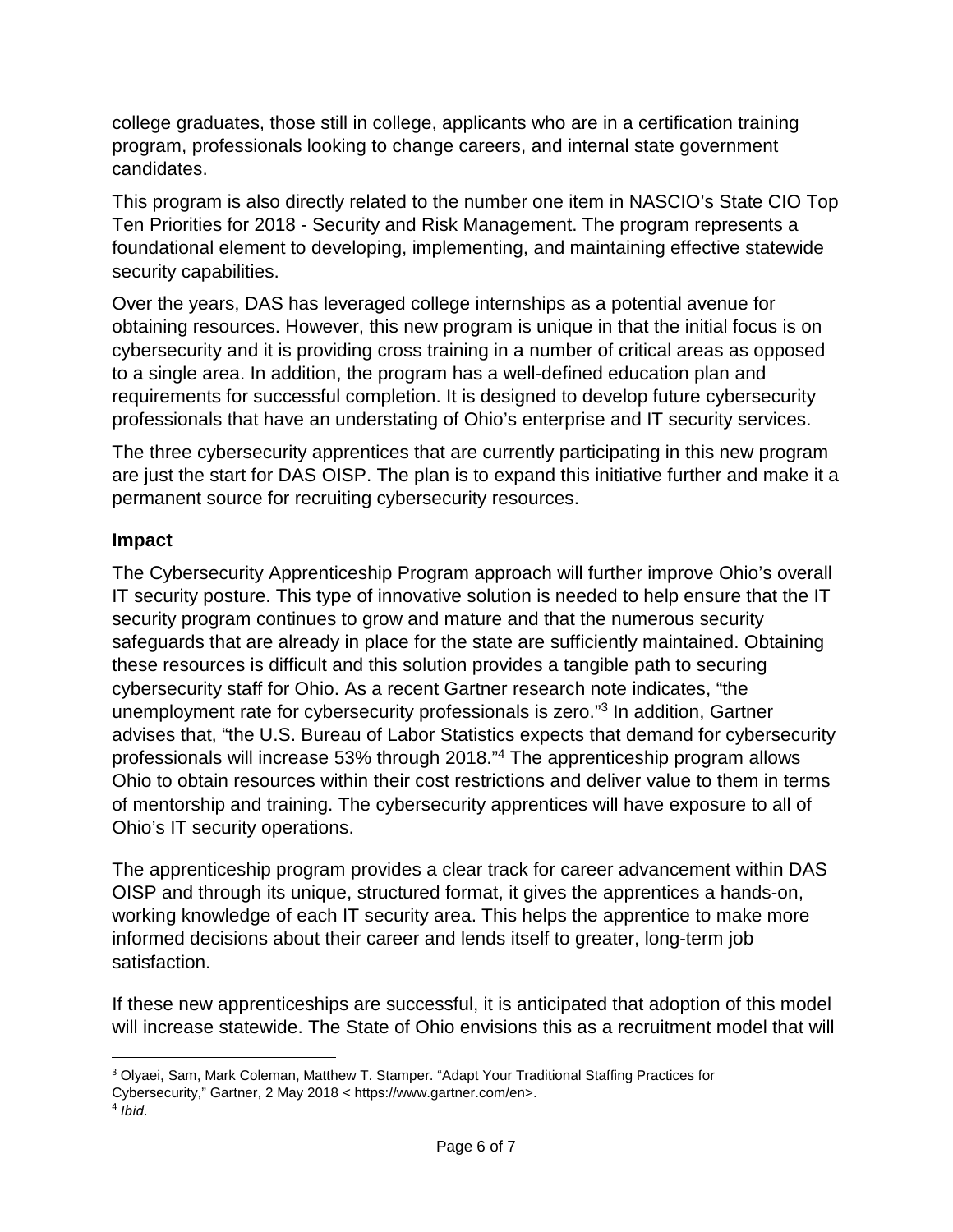college graduates, those still in college, applicants who are in a certification training program, professionals looking to change careers, and internal state government candidates.

This program is also directly related to the number one item in NASCIO's State CIO Top Ten Priorities for 2018 - Security and Risk Management. The program represents a foundational element to developing, implementing, and maintaining effective statewide security capabilities.

Over the years, DAS has leveraged college internships as a potential avenue for obtaining resources. However, this new program is unique in that the initial focus is on cybersecurity and it is providing cross training in a number of critical areas as opposed to a single area. In addition, the program has a well-defined education plan and requirements for successful completion. It is designed to develop future cybersecurity professionals that have an understating of Ohio's enterprise and IT security services.

The three cybersecurity apprentices that are currently participating in this new program are just the start for DAS OISP. The plan is to expand this initiative further and make it a permanent source for recruiting cybersecurity resources.

#### **Impact**

The Cybersecurity Apprenticeship Program approach will further improve Ohio's overall IT security posture. This type of innovative solution is needed to help ensure that the IT security program continues to grow and mature and that the numerous security safeguards that are already in place for the state are sufficiently maintained. Obtaining these resources is difficult and this solution provides a tangible path to securing cybersecurity staff for Ohio. As a recent Gartner research note indicates, "the unemployment rate for cybersecurity professionals is zero."<sup>3</sup> In addition, Gartner advises that, "the U.S. Bureau of Labor Statistics expects that demand for cybersecurity professionals will increase 53% through 2018."<sup>4</sup> The apprenticeship program allows Ohio to obtain resources within their cost restrictions and deliver value to them in terms of mentorship and training. The cybersecurity apprentices will have exposure to all of Ohio's IT security operations.

The apprenticeship program provides a clear track for career advancement within DAS OISP and through its unique, structured format, it gives the apprentices a hands-on, working knowledge of each IT security area. This helps the apprentice to make more informed decisions about their career and lends itself to greater, long-term job satisfaction.

If these new apprenticeships are successful, it is anticipated that adoption of this model will increase statewide. The State of Ohio envisions this as a recruitment model that will

 $\overline{a}$ 

<sup>3</sup> Olyaei, Sam, Mark Coleman, Matthew T. Stamper. "Adapt Your Traditional Staffing Practices for

Cybersecurity," Gartner, 2 May 2018 < https://www.gartner.com/en>.

 $4$  *Ibid.*